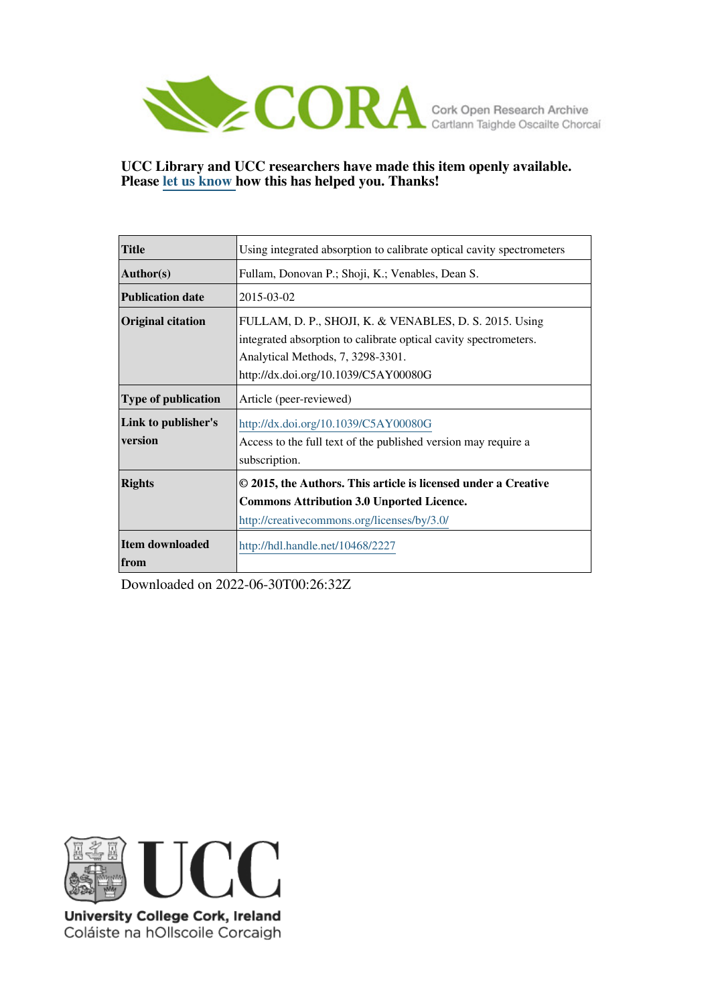

### **UCC Library and UCC researchers have made this item openly available. Please [let us know h](https://libguides.ucc.ie/openaccess/impact?suffix=2227&title=Using integrated absorption to calibrate optical cavity spectrometers)ow this has helped you. Thanks!**

| <b>Title</b>                   | Using integrated absorption to calibrate optical cavity spectrometers                                                                                                                                   |
|--------------------------------|---------------------------------------------------------------------------------------------------------------------------------------------------------------------------------------------------------|
| Author(s)                      | Fullam, Donovan P.; Shoji, K.; Venables, Dean S.                                                                                                                                                        |
| <b>Publication date</b>        | 2015-03-02                                                                                                                                                                                              |
| <b>Original citation</b>       | FULLAM, D. P., SHOJI, K. & VENABLES, D. S. 2015. Using<br>integrated absorption to calibrate optical cavity spectrometers.<br>Analytical Methods, 7, 3298-3301.<br>http://dx.doi.org/10.1039/C5AY00080G |
| <b>Type of publication</b>     | Article (peer-reviewed)                                                                                                                                                                                 |
| Link to publisher's<br>version | http://dx.doi.org/10.1039/C5AY00080G<br>Access to the full text of the published version may require a<br>subscription.                                                                                 |
| <b>Rights</b>                  | © 2015, the Authors. This article is licensed under a Creative<br><b>Commons Attribution 3.0 Unported Licence.</b><br>http://creativecommons.org/licenses/by/3.0/                                       |
| Item downloaded<br>from        | http://hdl.handle.net/10468/2227                                                                                                                                                                        |

Downloaded on 2022-06-30T00:26:32Z



University College Cork, Ireland Coláiste na hOllscoile Corcaigh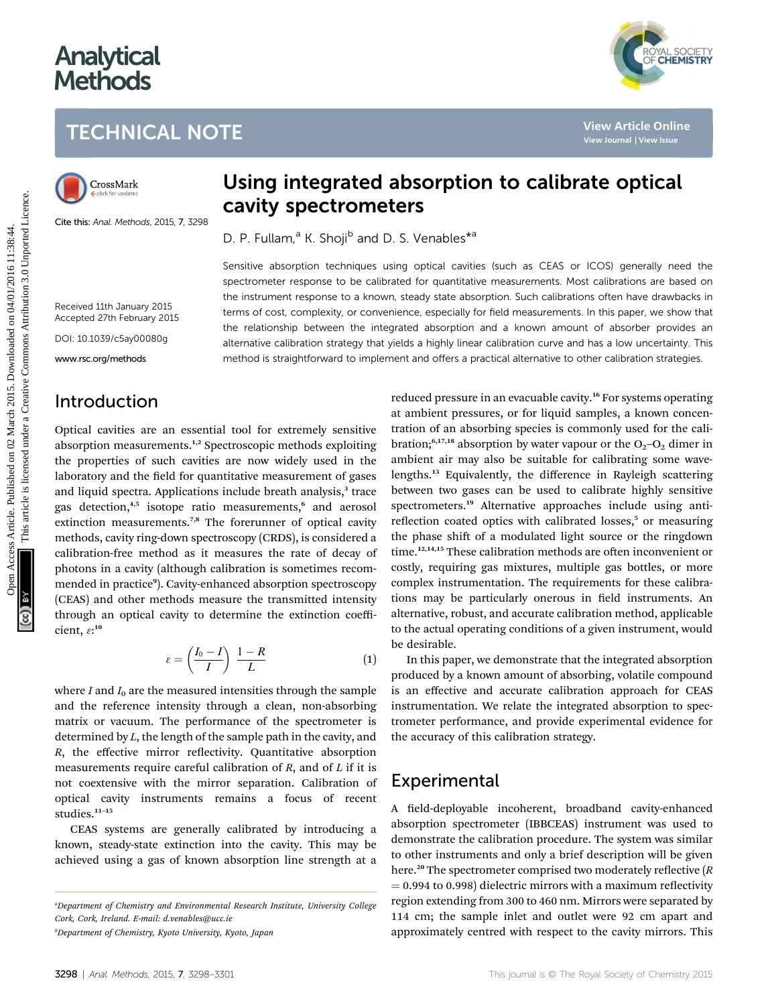# **Analytical Methods**



# TECHNICAL NOTE

Cite this: Anal. Methods, 2015, 7, 3298

# Using integrated absorption to calibrate optical cavity spectrometers

D. P. Fullam,<sup>a</sup> K. Shoji<sup>b</sup> and D. S. Venables<sup>\*a</sup>

Sensitive absorption techniques using optical cavities (such as CEAS or ICOS) generally need the spectrometer response to be calibrated for quantitative measurements. Most calibrations are based on the instrument response to a known, steady state absorption. Such calibrations often have drawbacks in terms of cost, complexity, or convenience, especially for field measurements. In this paper, we show that the relationship between the integrated absorption and a known amount of absorber provides an alternative calibration strategy that yields a highly linear calibration curve and has a low uncertainty. This method is straightforward to implement and offers a practical alternative to other calibration strategies.

### Introduction

Received 11th January 2015 Accepted 27th February 2015 DOI: 10.1039/c5ay00080g www.rsc.org/methods

Optical cavities are an essential tool for extremely sensitive absorption measurements.<sup>1,2</sup> Spectroscopic methods exploiting the properties of such cavities are now widely used in the laboratory and the field for quantitative measurement of gases and liquid spectra. Applications include breath analysis,<sup>3</sup> trace gas detection,<sup>4,5</sup> isotope ratio measurements,<sup>6</sup> and aerosol extinction measurements.<sup>7,8</sup> The forerunner of optical cavity methods, cavity ring-down spectroscopy (CRDS), is considered a calibration-free method as it measures the rate of decay of photons in a cavity (although calibration is sometimes recommended in practice<sup>9</sup>). Cavity-enhanced absorption spectroscopy (CEAS) and other methods measure the transmitted intensity through an optical cavity to determine the extinction coefficient,  $\varepsilon$ :<sup>10</sup>

$$
\varepsilon = \left(\frac{I_0 - I}{I}\right) \frac{1 - R}{L} \tag{1}
$$

where I and  $I_0$  are the measured intensities through the sample and the reference intensity through a clean, non-absorbing matrix or vacuum. The performance of the spectrometer is determined by L, the length of the sample path in the cavity, and  $R$ , the effective mirror reflectivity. Quantitative absorption measurements require careful calibration of  $R$ , and of  $L$  if it is not coextensive with the mirror separation. Calibration of optical cavity instruments remains a focus of recent studies.<sup>11-15</sup>

CEAS systems are generally calibrated by introducing a known, steady-state extinction into the cavity. This may be achieved using a gas of known absorption line strength at a

reduced pressure in an evacuable cavity.<sup>16</sup> For systems operating at ambient pressures, or for liquid samples, a known concentration of an absorbing species is commonly used for the calibration;<sup>6,17,18</sup> absorption by water vapour or the  $O_2-O_2$  dimer in ambient air may also be suitable for calibrating some wavelengths.<sup>13</sup> Equivalently, the difference in Rayleigh scattering between two gases can be used to calibrate highly sensitive spectrometers.<sup>19</sup> Alternative approaches include using antireflection coated optics with calibrated losses,<sup>5</sup> or measuring the phase shift of a modulated light source or the ringdown time.<sup>12,14,15</sup> These calibration methods are often inconvenient or costly, requiring gas mixtures, multiple gas bottles, or more complex instrumentation. The requirements for these calibrations may be particularly onerous in field instruments. An alternative, robust, and accurate calibration method, applicable to the actual operating conditions of a given instrument, would be desirable. **TECHNICAL NOTE**<br>
Crosskink<br>
Carrie And Mathematics 2015, 7.398<br>
Carrie And Mathematics 2015, 7.398<br>
Carrie And Mathematics 2015, 7.398<br>
Carrie And Mathematics 2015, 7.398<br>
Carrier and Mathematics 2015, 7.598<br>
Carrier and

> In this paper, we demonstrate that the integrated absorption produced by a known amount of absorbing, volatile compound is an effective and accurate calibration approach for CEAS instrumentation. We relate the integrated absorption to spectrometer performance, and provide experimental evidence for the accuracy of this calibration strategy.

## Experimental

A field-deployable incoherent, broadband cavity-enhanced absorption spectrometer (IBBCEAS) instrument was used to demonstrate the calibration procedure. The system was similar to other instruments and only a brief description will be given here.<sup>20</sup> The spectrometer comprised two moderately reflective  $(R)$  $= 0.994$  to 0.998) dielectric mirrors with a maximum reflectivity region extending from 300 to 460 nm. Mirrors were separated by 114 cm; the sample inlet and outlet were 92 cm apart and approximately centred with respect to the cavity mirrors. This

a Department of Chemistry and Environmental Research Institute, University College Cork, Cork, Ireland. E-mail: d.venables@ucc.ie

b Department of Chemistry, Kyoto University, Kyoto, Japan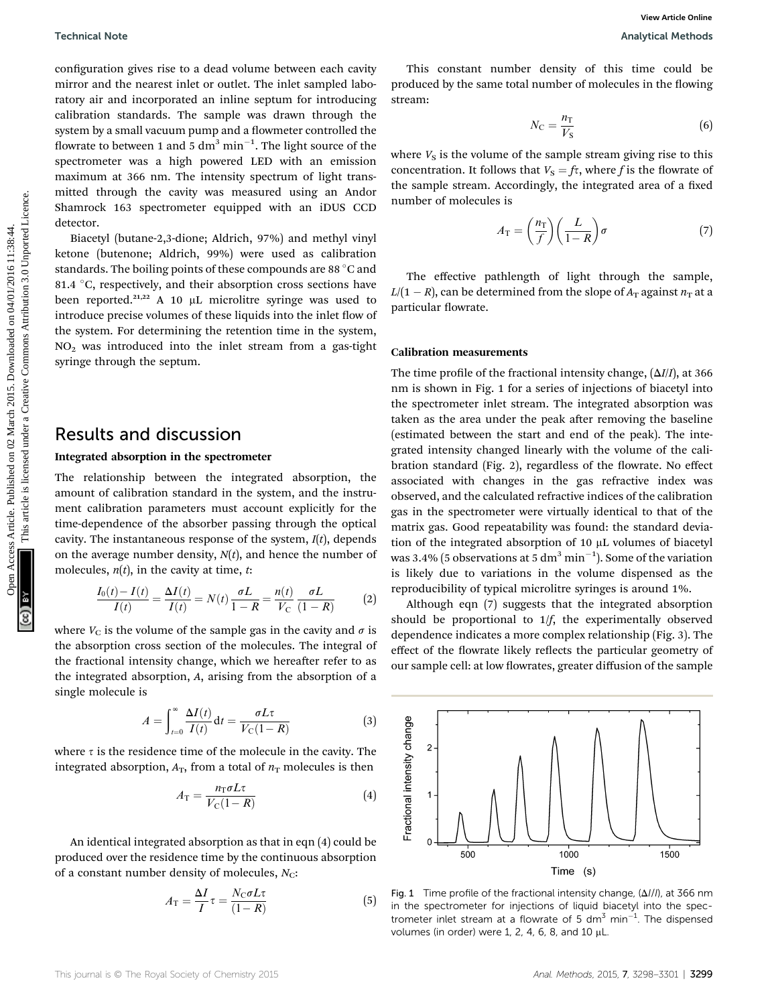configuration gives rise to a dead volume between each cavity mirror and the nearest inlet or outlet. The inlet sampled laboratory air and incorporated an inline septum for introducing calibration standards. The sample was drawn through the system by a small vacuum pump and a flowmeter controlled the flowrate to between 1 and 5  $\mathrm{d m^3\, min^{-1}}.$  The light source of the spectrometer was a high powered LED with an emission maximum at 366 nm. The intensity spectrum of light transmitted through the cavity was measured using an Andor Shamrock 163 spectrometer equipped with an iDUS CCD detector.

Biacetyl (butane-2,3-dione; Aldrich, 97%) and methyl vinyl ketone (butenone; Aldrich, 99%) were used as calibration standards. The boiling points of these compounds are 88  $\degree$ C and 81.4  $\degree$ C, respectively, and their absorption cross sections have been reported.<sup>21,22</sup> A 10  $\mu$ L microlitre syringe was used to introduce precise volumes of these liquids into the inlet flow of the system. For determining the retention time in the system, NO2 was introduced into the inlet stream from a gas-tight syringe through the septum.

### Results and discussion

#### Integrated absorption in the spectrometer

The relationship between the integrated absorption, the amount of calibration standard in the system, and the instrument calibration parameters must account explicitly for the time-dependence of the absorber passing through the optical cavity. The instantaneous response of the system,  $I(t)$ , depends on the average number density,  $N(t)$ , and hence the number of molecules,  $n(t)$ , in the cavity at time, t:

$$
\frac{I_0(t) - I(t)}{I(t)} = \frac{\Delta I(t)}{I(t)} = N(t) \frac{\sigma L}{1 - R} = \frac{n(t)}{V_C} \frac{\sigma L}{(1 - R)}
$$
(2)

where  $V_C$  is the volume of the sample gas in the cavity and  $\sigma$  is the absorption cross section of the molecules. The integral of the fractional intensity change, which we hereafter refer to as the integrated absorption, A, arising from the absorption of a single molecule is

$$
A = \int_{t=0}^{\infty} \frac{\Delta I(t)}{I(t)} dt = \frac{\sigma L \tau}{V_C (1 - R)}
$$
(3)

where  $\tau$  is the residence time of the molecule in the cavity. The integrated absorption,  $A_T$ , from a total of  $n_T$  molecules is then

$$
A_{\rm T} = \frac{n_{\rm T}\sigma L\tau}{V_{\rm C}(1-R)}\tag{4}
$$

An identical integrated absorption as that in eqn (4) could be produced over the residence time by the continuous absorption of a constant number density of molecules,  $N_{\rm C}$ :

$$
A_{\rm T} = \frac{\Delta I}{I} \tau = \frac{N_{\rm C} \sigma L \tau}{(1 - R)} \tag{5}
$$

This constant number density of this time could be produced by the same total number of molecules in the flowing stream:

$$
N_{\rm C} = \frac{n_{\rm T}}{V_{\rm S}}\tag{6}
$$

where  $V<sub>S</sub>$  is the volume of the sample stream giving rise to this concentration. It follows that  $V_s = f\tau$ , where f is the flowrate of the sample stream. Accordingly, the integrated area of a fixed number of molecules is

$$
A_{\rm T} = \left(\frac{n_{\rm T}}{f}\right) \left(\frac{L}{1-R}\right) \sigma \tag{7}
$$

The effective pathlength of light through the sample,  $L/(1-R)$ , can be determined from the slope of  $A_\mathrm{T}$  against  $n_\mathrm{T}$  at a particular flowrate.

#### Calibration measurements

The time profile of the fractional intensity change,  $(\Delta I/I)$ , at 366 nm is shown in Fig. 1 for a series of injections of biacetyl into the spectrometer inlet stream. The integrated absorption was taken as the area under the peak after removing the baseline (estimated between the start and end of the peak). The integrated intensity changed linearly with the volume of the calibration standard (Fig. 2), regardless of the flowrate. No effect associated with changes in the gas refractive index was observed, and the calculated refractive indices of the calibration gas in the spectrometer were virtually identical to that of the matrix gas. Good repeatability was found: the standard deviation of the integrated absorption of 10 µL volumes of biacetyl was 3.4% (5 observations at 5  $\mathrm{dm^{3}\,min^{-1}}$ ). Some of the variation is likely due to variations in the volume dispensed as the reproducibility of typical microlitre syringes is around 1%. Technical blots<br>
configuration provide on distribution block are considered by the same continuous continuous continuous continuous continuous continuous continuous continuous continuous continuous continuous continuous c

> Although eqn (7) suggests that the integrated absorption should be proportional to  $1/f$ , the experimentally observed dependence indicates a more complex relationship (Fig. 3). The effect of the flowrate likely reflects the particular geometry of our sample cell: at low flowrates, greater diffusion of the sample



Fig. 1 Time profile of the fractional intensity change,  $(\Delta I/I)$ , at 366 nm in the spectrometer for injections of liquid biacetyl into the spectrometer inlet stream at a flowrate of 5 dm<sup>3</sup> min<sup>-1</sup>. The dispensed volumes (in order) were 1, 2, 4, 6, 8, and 10  $\mu$ L.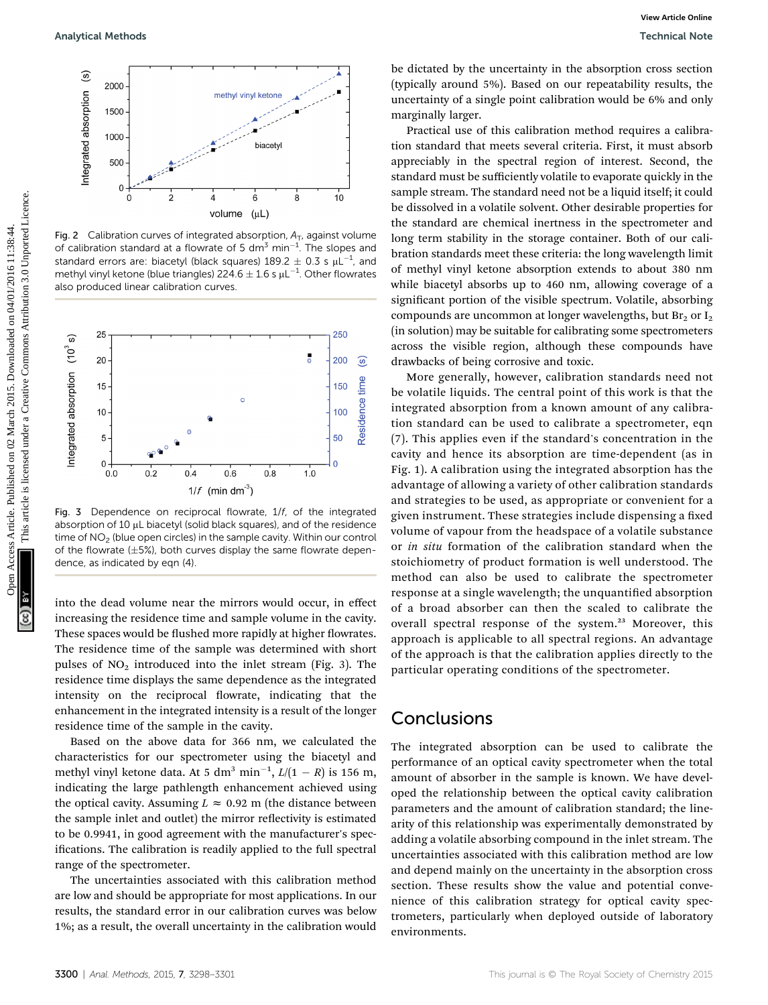

Fig. 2 Calibration curves of integrated absorption,  $A_T$ , against volume of calibration standard at a flowrate of 5 dm<sup>3</sup> min<sup>-1</sup>. The slopes and standard errors are: biacetyl (black squares)  $189.2 \pm 0.3$  s  $\mu$ L<sup>-1</sup>, and methyl vinyl ketone (blue triangles) 224.6  $\pm$  1.6 s  $\mu$ L $^{-1}$ . Other flowrates also produced linear calibration curves.



Fig. 3 Dependence on reciprocal flowrate, 1/f, of the integrated absorption of 10  $\mu$ L biacetyl (solid black squares), and of the residence time of  $NO<sub>2</sub>$  (blue open circles) in the sample cavity. Within our control of the flowrate  $(\pm 5%)$ , both curves display the same flowrate dependence, as indicated by eqn (4).

into the dead volume near the mirrors would occur, in effect increasing the residence time and sample volume in the cavity. These spaces would be flushed more rapidly at higher flowrates. The residence time of the sample was determined with short pulses of  $NO<sub>2</sub>$  introduced into the inlet stream (Fig. 3). The residence time displays the same dependence as the integrated intensity on the reciprocal flowrate, indicating that the enhancement in the integrated intensity is a result of the longer residence time of the sample in the cavity.

Based on the above data for 366 nm, we calculated the characteristics for our spectrometer using the biacetyl and methyl vinyl ketone data. At 5 dm<sup>3</sup> min<sup>-1</sup>,  $L/(1 - R)$  is 156 m, indicating the large pathlength enhancement achieved using the optical cavity. Assuming  $L \approx 0.92$  m (the distance between the sample inlet and outlet) the mirror reflectivity is estimated to be 0.9941, in good agreement with the manufacturer's specifications. The calibration is readily applied to the full spectral range of the spectrometer.

The uncertainties associated with this calibration method are low and should be appropriate for most applications. In our results, the standard error in our calibration curves was below 1%; as a result, the overall uncertainty in the calibration would

be dictated by the uncertainty in the absorption cross section (typically around 5%). Based on our repeatability results, the uncertainty of a single point calibration would be 6% and only marginally larger.

Practical use of this calibration method requires a calibration standard that meets several criteria. First, it must absorb appreciably in the spectral region of interest. Second, the standard must be sufficiently volatile to evaporate quickly in the sample stream. The standard need not be a liquid itself; it could be dissolved in a volatile solvent. Other desirable properties for the standard are chemical inertness in the spectrometer and long term stability in the storage container. Both of our calibration standards meet these criteria: the long wavelength limit of methyl vinyl ketone absorption extends to about 380 nm while biacetyl absorbs up to 460 nm, allowing coverage of a significant portion of the visible spectrum. Volatile, absorbing compounds are uncommon at longer wavelengths, but  $Br_2$  or  $I_2$ (in solution) may be suitable for calibrating some spectrometers across the visible region, although these compounds have drawbacks of being corrosive and toxic. Arabytical Methods<br>
Sometical Methods<br>
Sometical Methods<br>
Sometical Methods<br>
Sometical Methods<br>
Sometical Methods<br>
Sometical Methods Theoretical Methods Tests, Here on the properties are different and the second attachemi

More generally, however, calibration standards need not be volatile liquids. The central point of this work is that the integrated absorption from a known amount of any calibration standard can be used to calibrate a spectrometer, eqn (7). This applies even if the standard's concentration in the cavity and hence its absorption are time-dependent (as in Fig. 1). A calibration using the integrated absorption has the advantage of allowing a variety of other calibration standards and strategies to be used, as appropriate or convenient for a given instrument. These strategies include dispensing a fixed volume of vapour from the headspace of a volatile substance or in situ formation of the calibration standard when the stoichiometry of product formation is well understood. The method can also be used to calibrate the spectrometer response at a single wavelength; the unquantified absorption of a broad absorber can then the scaled to calibrate the overall spectral response of the system.<sup>23</sup> Moreover, this approach is applicable to all spectral regions. An advantage of the approach is that the calibration applies directly to the particular operating conditions of the spectrometer.

## **Conclusions**

The integrated absorption can be used to calibrate the performance of an optical cavity spectrometer when the total amount of absorber in the sample is known. We have developed the relationship between the optical cavity calibration parameters and the amount of calibration standard; the linearity of this relationship was experimentally demonstrated by adding a volatile absorbing compound in the inlet stream. The uncertainties associated with this calibration method are low and depend mainly on the uncertainty in the absorption cross section. These results show the value and potential convenience of this calibration strategy for optical cavity spectrometers, particularly when deployed outside of laboratory environments.